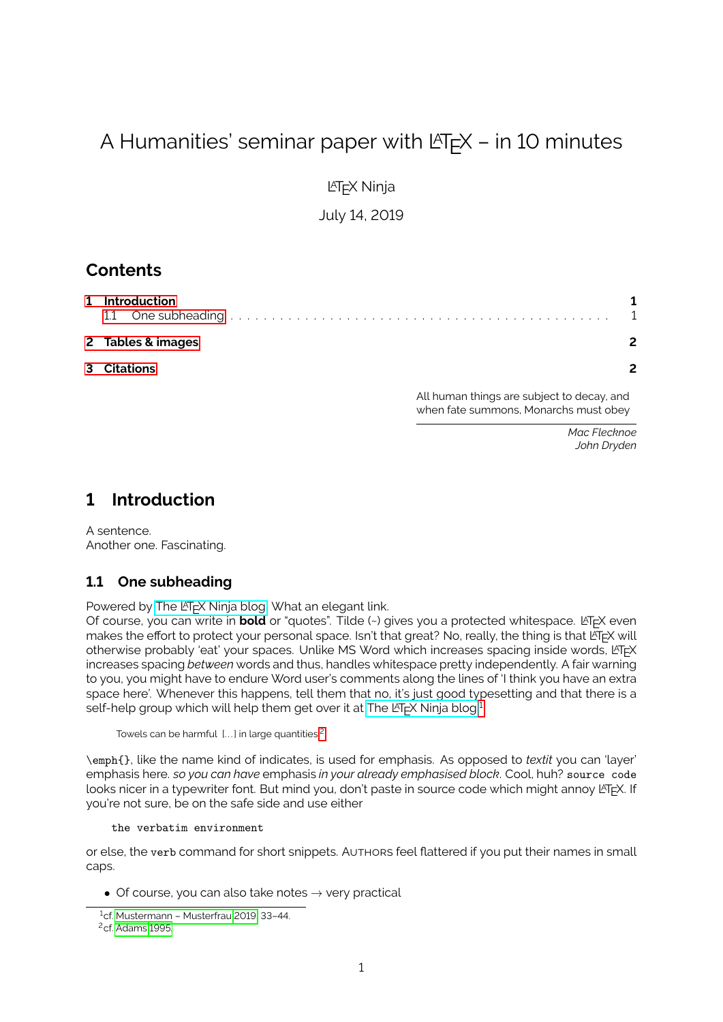# A Humanities' seminar paper with  $\lfloor \frac{H}{K} \rfloor$  – in 10 minutes

LATEX Ninja

July 14, 2019

# **Contents**

| 1 Introduction    |  |
|-------------------|--|
| 2 Tables & images |  |
| 3 Citations       |  |

All human things are subject to decay, and when fate summons, Monarchs must obey

> *Mac Flecknoe John Dryden*

#### <span id="page-0-0"></span>**1 Introduction**

A sentence. Another one. Fascinating.

#### <span id="page-0-1"></span>**1.1 One subheading**

Powered by The LA[TEX Ninja blog.](https://latex-ninja.com) What an elegant link.

Of course, you can write in **bold** or "quotes". Tilde (~) gives you a protected whitespace. LATEX even makes the effort to protect your personal space. Isn't that great? No, really, the thing is that LATEX will otherwise probably 'eat' your spaces. Unlike MS Word which increases spacing inside words, LATEX increases spacing *between* words and thus, handles whitespace pretty independently. A fair warning to you, you might have to endure Word user's comments along the lines of 'I think you have an extra space here'. Whenever this happens, tell them that no, it's just good typesetting and that there is a self-help group which will help them get over it at The LA[TEX Ninja blog.](https://latex-ninja.com)<sup>[1](#page-0-2)</sup>

Towels can be harmful [...] in large quantities.<sup>[2](#page-0-3)</sup>

\emph{}, like the name kind of indicates, is used for emphasis. As opposed to *textit* you can 'layer' emphasis here. *so you can have* emphasis *in your already emphasised block*. Cool, huh? source code looks nicer in a typewriter font. But mind you, don't paste in source code which might annoy LATEX. If you're not sure, be on the safe side and use either

#### the verbatim environment

or else, the verb command for short snippets. AUTHORS feel attered if you put their names in small caps.

• Of course, you can also take notes  $\rightarrow$  very practical

<span id="page-0-2"></span><sup>1</sup>cf. [Mustermann – Musterfrau 2019,](#page-2-0) 33–44.

<span id="page-0-3"></span><sup>2</sup>cf. [Adams 1995.](#page-1-2)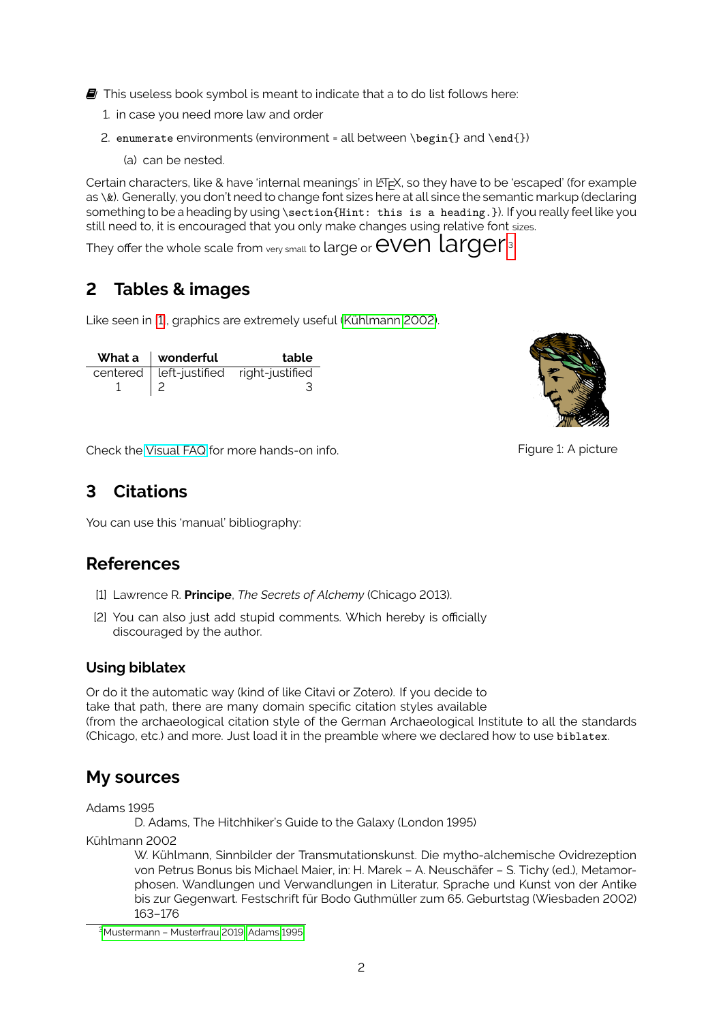$\blacksquare$  This useless book symbol is meant to indicate that a to do list follows here:

- 1. in case you need more law and order
- 2. enumerate environments (environment = all between \begin{} and \end{})
	- (a) can be nested.

Certain characters, like & have 'internal meanings' in  $E\nabla F$ , so they have to be 'escaped' (for example as \&). Generally, you don't need to change font sizes here at all since the semantic markup (declaring something to be a heading by using \section{Hint: this is a heading.}). If you really feel like you still need to, it is encouraged that you only make changes using relative font sizes.

They offer the whole scale from  $_{\rm verv\,small small}$  to large or  $\rm eVen$  larger.

# <span id="page-1-0"></span>**2 Tables & images**

Like seen in [\[1\]](#page-1-4), graphics are extremely useful [\(Kühlmann 2002\)](#page-1-5).

| What a $\parallel$ wonderful | table                                   |
|------------------------------|-----------------------------------------|
|                              | centered left-justified right-justified |
|                              |                                         |



<span id="page-1-4"></span>Figure 1: A picture

Check the [Visual FAQ](http://mirror.utexas.edu/ctan/info/visualFAQ/visualFAQ.pdf) for more hands-on info.

#### <span id="page-1-1"></span>**3 Citations**

You can use this 'manual' bibliography:

# **References**

- [1] Lawrence R. **Principe**, *The Secrets of Alchemy* (Chicago 2013).
- [2] You can also just add stupid comments. Which hereby is officially discouraged by the author.

#### **Using biblatex**

Or do it the automatic way (kind of like Citavi or Zotero). If you decide to take that path, there are many domain specific citation styles available (from the archaeological citation style of the German Archaeological Institute to all the standards (Chicago, etc.) and more. Just load it in the preamble where we declared how to use biblatex.

# **My sources**

Adams 1995

<span id="page-1-2"></span>D. Adams, The Hitchhiker's Guide to the Galaxy (London 1995)

Kühlmann 2002

<span id="page-1-5"></span>W. Kühlmann, Sinnbilder der Transmutationskunst. Die mytho-alchemische Ovidrezeption von Petrus Bonus bis Michael Maier, in: H. Marek – A. Neuschäfer – S. Tichy (ed.), Metamorphosen. Wandlungen und Verwandlungen in Literatur, Sprache und Kunst von der Antike bis zur Gegenwart. Festschrift für Bodo Guthmüller zum 65. Geburtstag (Wiesbaden 2002) 163–176

<span id="page-1-3"></span><sup>3</sup>[Mustermann – Musterfrau 2019;](#page-2-0) [Adams 1995.](#page-1-2)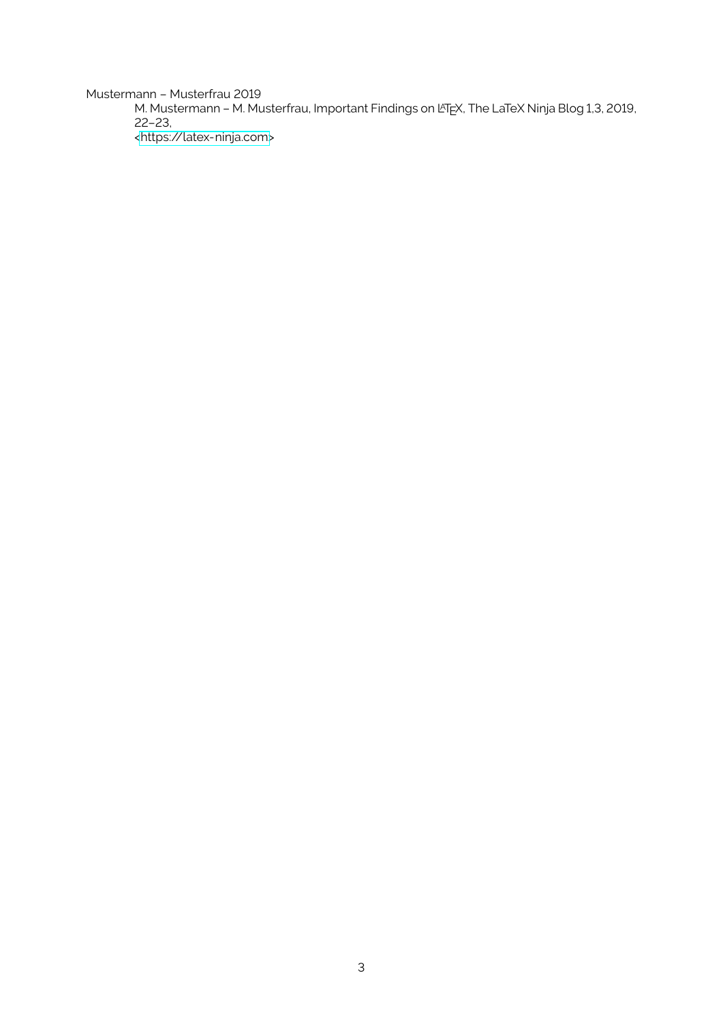Mustermann – Musterfrau 2019

<span id="page-2-0"></span>M. Mustermann - M. Musterfrau, Important Findings on LATEX, The LaTeX Ninja Blog 1,3, 2019, 22–23, [<https://latex-ninja.com>](https://latex-ninja.com)